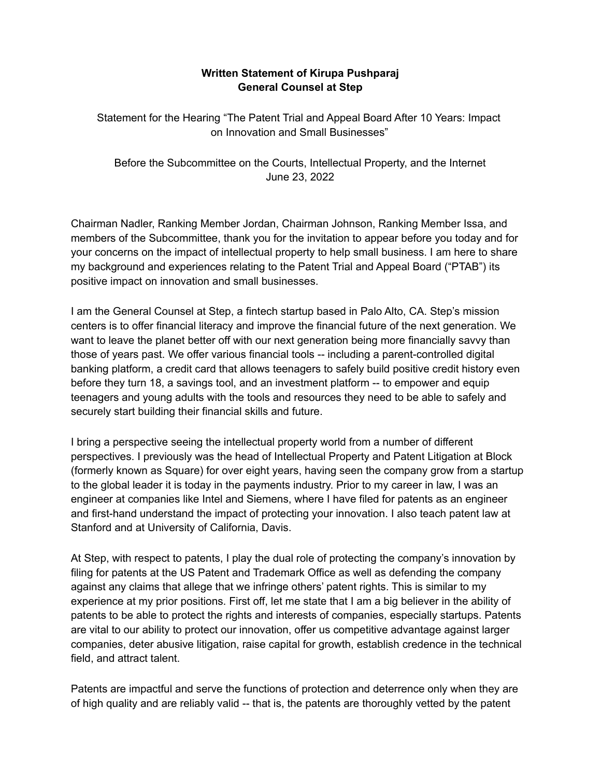## **Written Statement of Kirupa Pushparaj General Counsel at Step**

Statement for the Hearing "The Patent Trial and Appeal Board After 10 Years: Impact on Innovation and Small Businesses"

Before the Subcommittee on the Courts, Intellectual Property, and the Internet June 23, 2022

Chairman Nadler, Ranking Member Jordan, Chairman Johnson, Ranking Member Issa, and members of the Subcommittee, thank you for the invitation to appear before you today and for your concerns on the impact of intellectual property to help small business. I am here to share my background and experiences relating to the Patent Trial and Appeal Board ("PTAB") its positive impact on innovation and small businesses.

I am the General Counsel at Step, a fintech startup based in Palo Alto, CA. Step's mission centers is to offer financial literacy and improve the financial future of the next generation. We want to leave the planet better off with our next generation being more financially savvy than those of years past. We offer various financial tools -- including a parent-controlled digital banking platform, a credit card that allows teenagers to safely build positive credit history even before they turn 18, a savings tool, and an investment platform -- to empower and equip teenagers and young adults with the tools and resources they need to be able to safely and securely start building their financial skills and future.

I bring a perspective seeing the intellectual property world from a number of different perspectives. I previously was the head of Intellectual Property and Patent Litigation at Block (formerly known as Square) for over eight years, having seen the company grow from a startup to the global leader it is today in the payments industry. Prior to my career in law, I was an engineer at companies like Intel and Siemens, where I have filed for patents as an engineer and first-hand understand the impact of protecting your innovation. I also teach patent law at Stanford and at University of California, Davis.

At Step, with respect to patents, I play the dual role of protecting the company's innovation by filing for patents at the US Patent and Trademark Office as well as defending the company against any claims that allege that we infringe others' patent rights. This is similar to my experience at my prior positions. First off, let me state that I am a big believer in the ability of patents to be able to protect the rights and interests of companies, especially startups. Patents are vital to our ability to protect our innovation, offer us competitive advantage against larger companies, deter abusive litigation, raise capital for growth, establish credence in the technical field, and attract talent.

Patents are impactful and serve the functions of protection and deterrence only when they are of high quality and are reliably valid -- that is, the patents are thoroughly vetted by the patent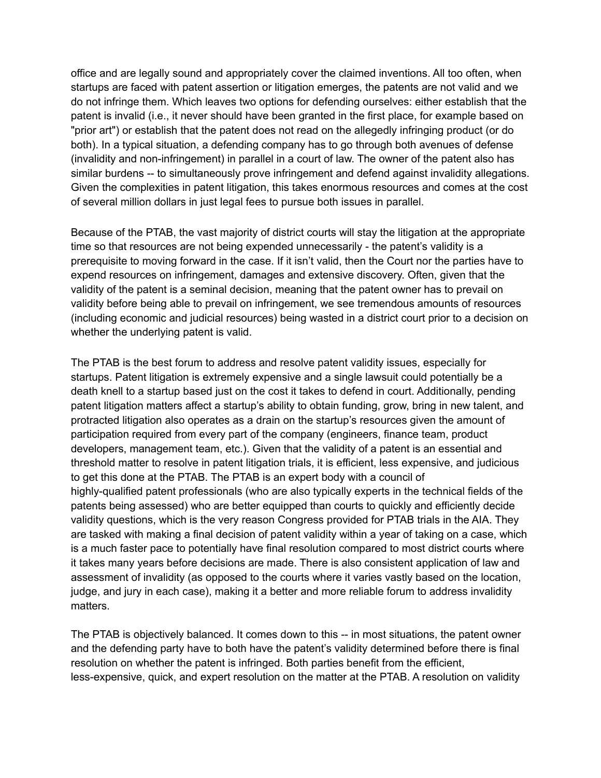office and are legally sound and appropriately cover the claimed inventions. All too often, when startups are faced with patent assertion or litigation emerges, the patents are not valid and we do not infringe them. Which leaves two options for defending ourselves: either establish that the patent is invalid (i.e., it never should have been granted in the first place, for example based on "prior art") or establish that the patent does not read on the allegedly infringing product (or do both). In a typical situation, a defending company has to go through both avenues of defense (invalidity and non-infringement) in parallel in a court of law. The owner of the patent also has similar burdens -- to simultaneously prove infringement and defend against invalidity allegations. Given the complexities in patent litigation, this takes enormous resources and comes at the cost of several million dollars in just legal fees to pursue both issues in parallel.

Because of the PTAB, the vast majority of district courts will stay the litigation at the appropriate time so that resources are not being expended unnecessarily - the patent's validity is a prerequisite to moving forward in the case. If it isn't valid, then the Court nor the parties have to expend resources on infringement, damages and extensive discovery. Often, given that the validity of the patent is a seminal decision, meaning that the patent owner has to prevail on validity before being able to prevail on infringement, we see tremendous amounts of resources (including economic and judicial resources) being wasted in a district court prior to a decision on whether the underlying patent is valid.

The PTAB is the best forum to address and resolve patent validity issues, especially for startups. Patent litigation is extremely expensive and a single lawsuit could potentially be a death knell to a startup based just on the cost it takes to defend in court. Additionally, pending patent litigation matters affect a startup's ability to obtain funding, grow, bring in new talent, and protracted litigation also operates as a drain on the startup's resources given the amount of participation required from every part of the company (engineers, finance team, product developers, management team, etc.). Given that the validity of a patent is an essential and threshold matter to resolve in patent litigation trials, it is efficient, less expensive, and judicious to get this done at the PTAB. The PTAB is an expert body with a council of highly-qualified patent professionals (who are also typically experts in the technical fields of the patents being assessed) who are better equipped than courts to quickly and efficiently decide validity questions, which is the very reason Congress provided for PTAB trials in the AIA. They are tasked with making a final decision of patent validity within a year of taking on a case, which is a much faster pace to potentially have final resolution compared to most district courts where it takes many years before decisions are made. There is also consistent application of law and assessment of invalidity (as opposed to the courts where it varies vastly based on the location, judge, and jury in each case), making it a better and more reliable forum to address invalidity matters.

The PTAB is objectively balanced. It comes down to this -- in most situations, the patent owner and the defending party have to both have the patent's validity determined before there is final resolution on whether the patent is infringed. Both parties benefit from the efficient, less-expensive, quick, and expert resolution on the matter at the PTAB. A resolution on validity